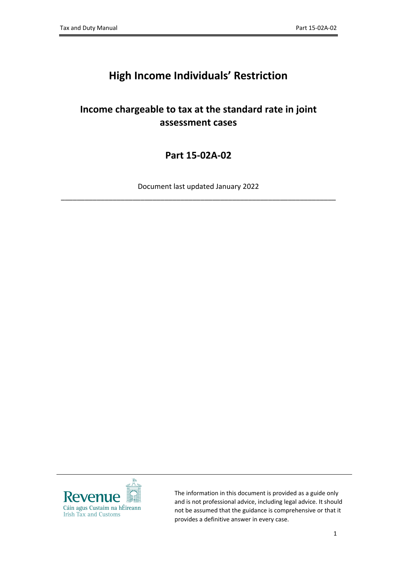## **High Income Individuals' Restriction**

## **Income chargeable to tax at the standard rate in joint assessment cases**

**Part 15-02A-02**

Document last updated January 2022 \_\_\_\_\_\_\_\_\_\_\_\_\_\_\_\_\_\_\_\_\_\_\_\_\_\_\_\_\_\_\_\_\_\_\_\_\_\_\_\_\_\_\_\_\_\_\_\_\_\_\_\_\_\_\_\_\_\_\_\_\_\_\_\_\_\_\_\_\_



The information in this document is provided as a guide only and is not professional advice, including legal advice. It should not be assumed that the guidance is comprehensive or that it provides a definitive answer in every case.